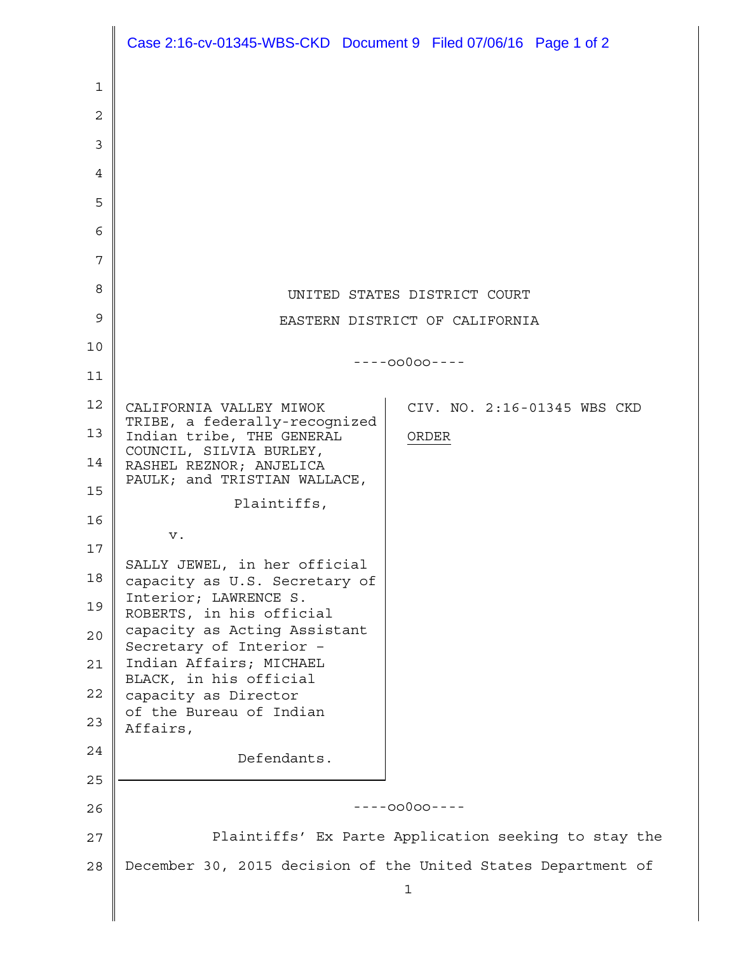|                | Case 2:16-cv-01345-WBS-CKD Document 9 Filed 07/06/16 Page 1 of 2                        |
|----------------|-----------------------------------------------------------------------------------------|
| 1              |                                                                                         |
| $\overline{2}$ |                                                                                         |
| 3              |                                                                                         |
| 4              |                                                                                         |
| 5              |                                                                                         |
| 6              |                                                                                         |
| 7              |                                                                                         |
| 8              | UNITED STATES DISTRICT COURT                                                            |
| 9              | EASTERN DISTRICT OF CALIFORNIA                                                          |
| 10             | $---00000---$                                                                           |
| 11             |                                                                                         |
| 12             | CALIFORNIA VALLEY MIWOK<br>CIV. NO. 2:16-01345 WBS CKD<br>TRIBE, a federally-recognized |
| 13             | Indian tribe, THE GENERAL<br>ORDER<br>COUNCIL, SILVIA BURLEY,                           |
| 14             | RASHEL REZNOR; ANJELICA<br>PAULK; and TRISTIAN WALLACE,                                 |
| 15             | Plaintiffs,                                                                             |
| 16             | ν.                                                                                      |
| 17<br>18       | SALLY JEWEL, in her official                                                            |
| 19             | capacity as U.S. Secretary of<br>Interior; LAWRENCE S.                                  |
| 20             | ROBERTS, in his official<br>capacity as Acting Assistant                                |
| 21             | Secretary of Interior -<br>Indian Affairs; MICHAEL                                      |
| 22             | BLACK, in his official<br>capacity as Director                                          |
| 23             | of the Bureau of Indian<br>Affairs,                                                     |
| 24             | Defendants.                                                                             |
| 25             |                                                                                         |
| 26             | $---00000---$                                                                           |
| 27             | Plaintiffs' Ex Parte Application seeking to stay the                                    |
| 28             | December 30, 2015 decision of the United States Department of                           |
|                | 1                                                                                       |